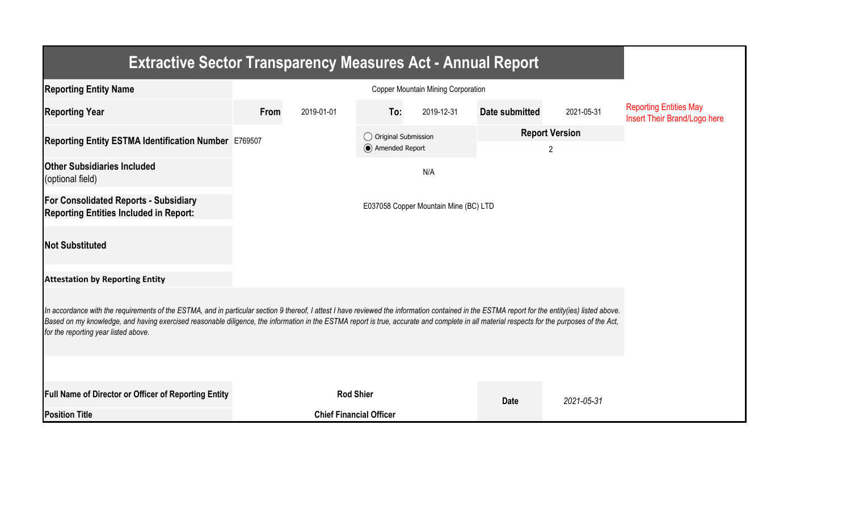| <b>Extractive Sector Transparency Measures Act - Annual Report</b>                                                                                                                                                                                                                                                                                                                                                                    |                                       |                                |                                         |            |                            |            |                                                               |  |  |  |
|---------------------------------------------------------------------------------------------------------------------------------------------------------------------------------------------------------------------------------------------------------------------------------------------------------------------------------------------------------------------------------------------------------------------------------------|---------------------------------------|--------------------------------|-----------------------------------------|------------|----------------------------|------------|---------------------------------------------------------------|--|--|--|
| <b>Reporting Entity Name</b>                                                                                                                                                                                                                                                                                                                                                                                                          |                                       |                                |                                         |            |                            |            |                                                               |  |  |  |
| <b>Reporting Year</b>                                                                                                                                                                                                                                                                                                                                                                                                                 | From                                  | 2019-01-01                     | To:                                     | 2019-12-31 | Date submitted             | 2021-05-31 | <b>Reporting Entities May</b><br>Insert Their Brand/Logo here |  |  |  |
| Reporting Entity ESTMA Identification Number E769507                                                                                                                                                                                                                                                                                                                                                                                  |                                       |                                | ◯ Original Submission<br>Amended Report |            | <b>Report Version</b><br>2 |            |                                                               |  |  |  |
| <b>Other Subsidiaries Included</b><br>(optional field)                                                                                                                                                                                                                                                                                                                                                                                |                                       |                                |                                         | N/A        |                            |            |                                                               |  |  |  |
| <b>For Consolidated Reports - Subsidiary</b><br><b>Reporting Entities Included in Report:</b>                                                                                                                                                                                                                                                                                                                                         | E037058 Copper Mountain Mine (BC) LTD |                                |                                         |            |                            |            |                                                               |  |  |  |
| <b>Not Substituted</b>                                                                                                                                                                                                                                                                                                                                                                                                                |                                       |                                |                                         |            |                            |            |                                                               |  |  |  |
| <b>Attestation by Reporting Entity</b>                                                                                                                                                                                                                                                                                                                                                                                                |                                       |                                |                                         |            |                            |            |                                                               |  |  |  |
| In accordance with the requirements of the ESTMA, and in particular section 9 thereof, I attest I have reviewed the information contained in the ESTMA report for the entity(ies) listed above.<br>Based on my knowledge, and having exercised reasonable diligence, the information in the ESTMA report is true, accurate and complete in all material respects for the purposes of the Act,<br>for the reporting year listed above. |                                       |                                |                                         |            |                            |            |                                                               |  |  |  |
|                                                                                                                                                                                                                                                                                                                                                                                                                                       |                                       |                                |                                         |            |                            |            |                                                               |  |  |  |
| Full Name of Director or Officer of Reporting Entity                                                                                                                                                                                                                                                                                                                                                                                  |                                       | <b>Rod Shier</b>               |                                         |            | <b>Date</b>                | 2021-05-31 |                                                               |  |  |  |
| <b>Position Title</b>                                                                                                                                                                                                                                                                                                                                                                                                                 |                                       | <b>Chief Financial Officer</b> |                                         |            |                            |            |                                                               |  |  |  |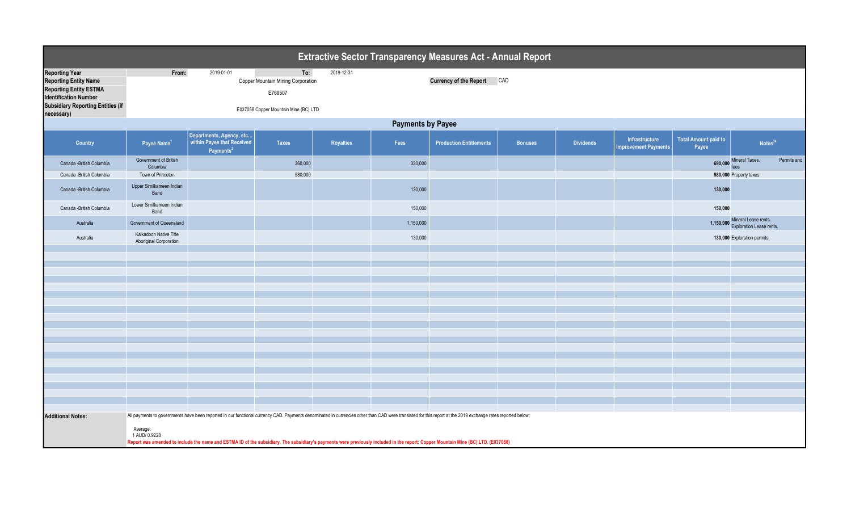|                                                                                                                                                                    | Extractive Sector Transparency Measures Act - Annual Report                                                                                                                                                                                                                                                                                                                                                                   |                                                                                 |                                                                                               |            |           |                                |                |                  |                                               |                                      |                                                        |             |
|--------------------------------------------------------------------------------------------------------------------------------------------------------------------|-------------------------------------------------------------------------------------------------------------------------------------------------------------------------------------------------------------------------------------------------------------------------------------------------------------------------------------------------------------------------------------------------------------------------------|---------------------------------------------------------------------------------|-----------------------------------------------------------------------------------------------|------------|-----------|--------------------------------|----------------|------------------|-----------------------------------------------|--------------------------------------|--------------------------------------------------------|-------------|
| <b>Reporting Year</b><br><b>Reporting Entity Name</b><br><b>Reporting Entity ESTMA</b><br><b>Identification Number</b><br><b>Subsidiary Reporting Entities (if</b> | From:                                                                                                                                                                                                                                                                                                                                                                                                                         | 2019-01-01                                                                      | To:<br>Copper Mountain Mining Corporation<br>E769507<br>E037058 Copper Mountain Mine (BC) LTD | 2019-12-31 |           | <b>Currency of the Report</b>  | CAD            |                  |                                               |                                      |                                                        |             |
| necessary)                                                                                                                                                         | <b>Payments by Payee</b>                                                                                                                                                                                                                                                                                                                                                                                                      |                                                                                 |                                                                                               |            |           |                                |                |                  |                                               |                                      |                                                        |             |
| <b>Country</b>                                                                                                                                                     | Payee Name <sup>1</sup>                                                                                                                                                                                                                                                                                                                                                                                                       | Departments, Agency, etc<br>within Payee that Received<br>Payments <sup>2</sup> | <b>Taxes</b>                                                                                  | Royalties  | Fees      | <b>Production Entitlements</b> | <b>Bonuses</b> | <b>Dividends</b> | Infrastructure<br><b>Improvement Payments</b> | <b>Total Amount paid to</b><br>Payee | Notes <sup>34</sup>                                    |             |
| Canada - British Columbia<br>Canada - British Columbia                                                                                                             | Government of British<br>Columbia<br>Town of Princeton                                                                                                                                                                                                                                                                                                                                                                        |                                                                                 | 360,000<br>580,000                                                                            |            | 330,000   |                                |                |                  |                                               | 690,000                              | Mineral Taxes.<br>580,000 Property taxes.              | Permits and |
| Canada -British Columbia                                                                                                                                           | Upper Similkameen Indian<br>Band                                                                                                                                                                                                                                                                                                                                                                                              |                                                                                 |                                                                                               |            | 130,000   |                                |                |                  |                                               | 130,000                              |                                                        |             |
| Canada -British Columbia                                                                                                                                           | Lower Similkameen Indian<br>Band                                                                                                                                                                                                                                                                                                                                                                                              |                                                                                 |                                                                                               |            | 150,000   |                                |                |                  |                                               | 150,000                              |                                                        |             |
| Australia                                                                                                                                                          | Government of Queensland                                                                                                                                                                                                                                                                                                                                                                                                      |                                                                                 |                                                                                               |            | 1,150,000 |                                |                |                  |                                               | 1,150,000                            | Mineral Lease rents.<br><b>Exploration Lease rents</b> |             |
| Australia                                                                                                                                                          | Kalkadoon Native Title<br><b>Aboriginal Corporation</b>                                                                                                                                                                                                                                                                                                                                                                       |                                                                                 |                                                                                               |            | 130,000   |                                |                |                  |                                               |                                      | 130,000 Exploration permits.                           |             |
|                                                                                                                                                                    |                                                                                                                                                                                                                                                                                                                                                                                                                               |                                                                                 |                                                                                               |            |           |                                |                |                  |                                               |                                      |                                                        |             |
|                                                                                                                                                                    |                                                                                                                                                                                                                                                                                                                                                                                                                               |                                                                                 |                                                                                               |            |           |                                |                |                  |                                               |                                      |                                                        |             |
|                                                                                                                                                                    |                                                                                                                                                                                                                                                                                                                                                                                                                               |                                                                                 |                                                                                               |            |           |                                |                |                  |                                               |                                      |                                                        |             |
|                                                                                                                                                                    |                                                                                                                                                                                                                                                                                                                                                                                                                               |                                                                                 |                                                                                               |            |           |                                |                |                  |                                               |                                      |                                                        |             |
|                                                                                                                                                                    |                                                                                                                                                                                                                                                                                                                                                                                                                               |                                                                                 |                                                                                               |            |           |                                |                |                  |                                               |                                      |                                                        |             |
|                                                                                                                                                                    |                                                                                                                                                                                                                                                                                                                                                                                                                               |                                                                                 |                                                                                               |            |           |                                |                |                  |                                               |                                      |                                                        |             |
|                                                                                                                                                                    |                                                                                                                                                                                                                                                                                                                                                                                                                               |                                                                                 |                                                                                               |            |           |                                |                |                  |                                               |                                      |                                                        |             |
|                                                                                                                                                                    |                                                                                                                                                                                                                                                                                                                                                                                                                               |                                                                                 |                                                                                               |            |           |                                |                |                  |                                               |                                      |                                                        |             |
|                                                                                                                                                                    |                                                                                                                                                                                                                                                                                                                                                                                                                               |                                                                                 |                                                                                               |            |           |                                |                |                  |                                               |                                      |                                                        |             |
|                                                                                                                                                                    |                                                                                                                                                                                                                                                                                                                                                                                                                               |                                                                                 |                                                                                               |            |           |                                |                |                  |                                               |                                      |                                                        |             |
|                                                                                                                                                                    |                                                                                                                                                                                                                                                                                                                                                                                                                               |                                                                                 |                                                                                               |            |           |                                |                |                  |                                               |                                      |                                                        |             |
| <b>Additional Notes:</b>                                                                                                                                           | All payments to governments have been reported in our functional currency CAD. Payments denominated in currencies other than CAD were translated for this report at the 2019 exchange rates reported below:<br>Average:<br>1 AUD/ 0.9228<br>Report was amended to include the name and ESTMA ID of the subsidiary. The subsidiary's payments were previously included in the report: Copper Mountain Mine (BC) LTD. (E037058) |                                                                                 |                                                                                               |            |           |                                |                |                  |                                               |                                      |                                                        |             |